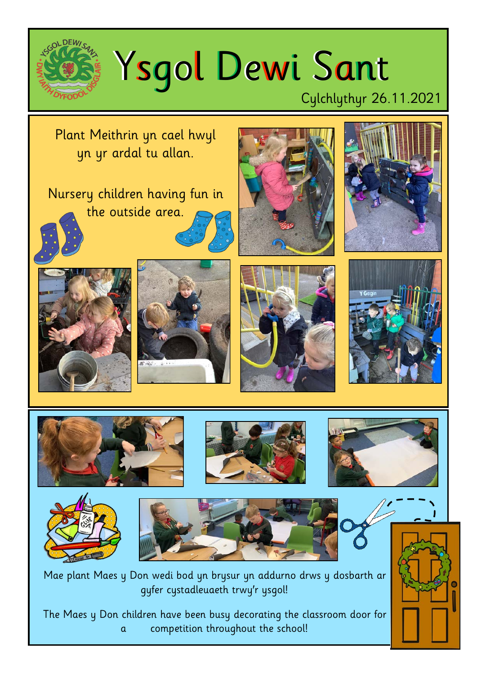

## Ysgol Dewi Sant

## Cylchlythyr 26.11.2021

Plant Meithrin yn cael hwyl yn yr ardal tu allan.

Nursery children having fun in the outside area.



























Mae plant Maes y Don wedi bod yn brysur yn addurno drws y dosbarth ar gyfer cystadleuaeth trwy'r ysgol!

The Maes y Don children have been busy decorating the classroom door for a competition throughout the school!

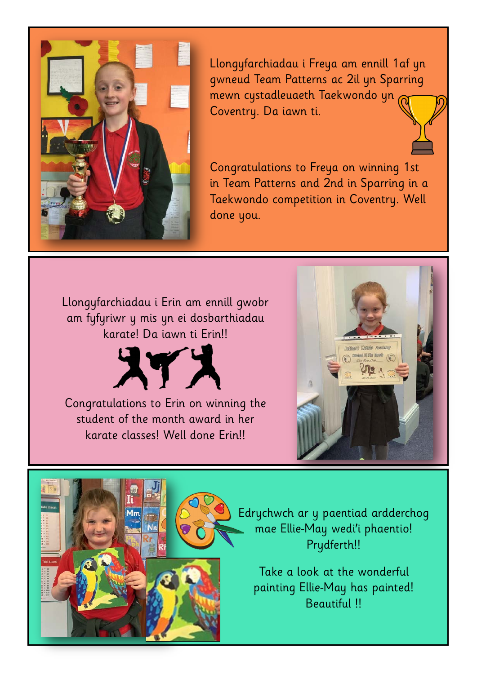

Llongyfarchiadau i Freya am ennill 1af yn gwneud Team Patterns ac 2il yn Sparring mewn cystadleuaeth Taekwondo yn Coventry. Da iawn ti.

Congratulations to Freya on winning 1st in Team Patterns and 2nd in Sparring in a Taekwondo competition in Coventry. Well done you.

Llongyfarchiadau i Erin am ennill gwobr am fyfyriwr y mis yn ei dosbarthiadau karate! Da iawn ti Erin!!



Congratulations to Erin on winning the student of the month award in her karate classes! Well done Erin!!



Edrychwch ar y paentiad ardderchog mae Ellie-May wedi'i phaentio! Prydferth!!

Take a look at the wonderful painting Ellie-May has painted! Beautiful !!